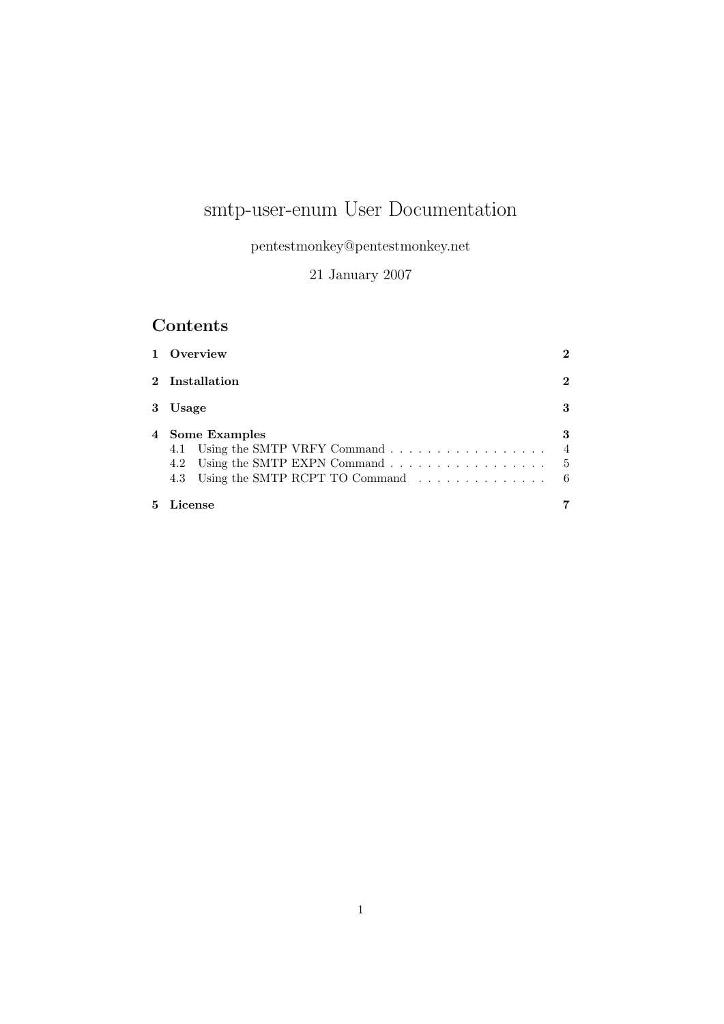# smtp-user-enum User Documentation

pentestmonkey@pentestmonkey.net

21 January 2007

## Contents

| 1 Overview                                                                                                                      | $\mathbf 2$         |
|---------------------------------------------------------------------------------------------------------------------------------|---------------------|
| $2$ Installation                                                                                                                | $\mathbf 2$         |
| 3 Usage                                                                                                                         | 3                   |
| 4 Some Examples<br>4.1 Using the SMTP VRFY Command<br>4.2 Using the SMTP EXPN Command 5<br>4.3 Using the SMTP RCPT TO Command 6 | 3<br>$\overline{4}$ |
| $5$ $License$                                                                                                                   |                     |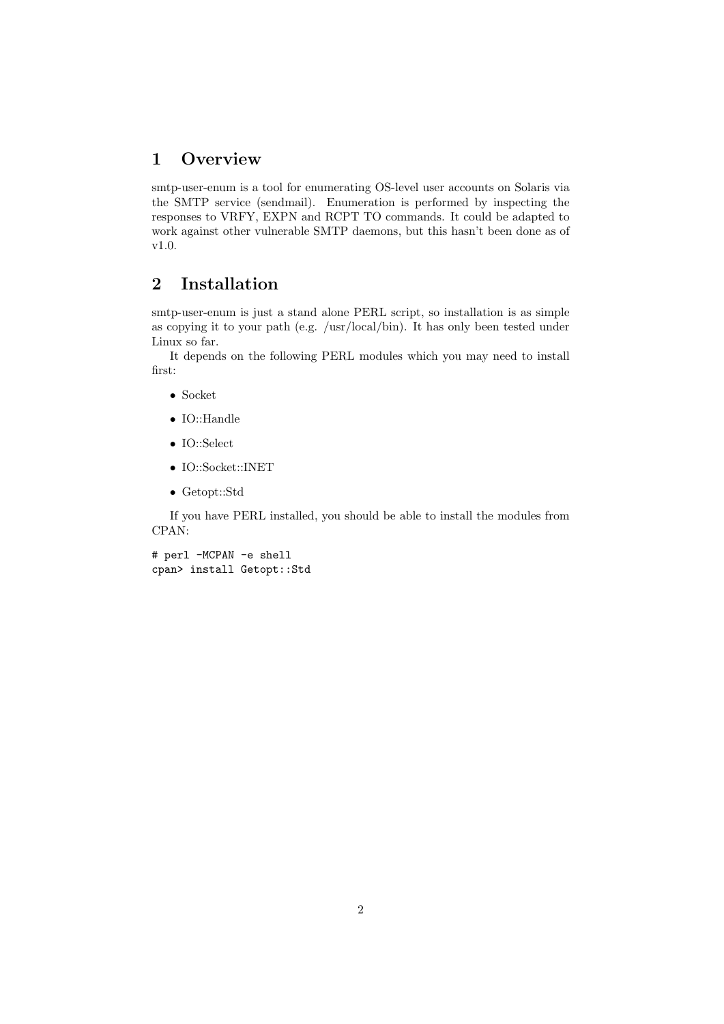## <span id="page-1-0"></span>1 Overview

smtp-user-enum is a tool for enumerating OS-level user accounts on Solaris via the SMTP service (sendmail). Enumeration is performed by inspecting the responses to VRFY, EXPN and RCPT TO commands. It could be adapted to work against other vulnerable SMTP daemons, but this hasn't been done as of v1.0.

## <span id="page-1-1"></span>2 Installation

smtp-user-enum is just a stand alone PERL script, so installation is as simple as copying it to your path (e.g. /usr/local/bin). It has only been tested under Linux so far.

It depends on the following PERL modules which you may need to install first:

- Socket
- IO::Handle
- IO::Select
- IO::Socket::INET
- Getopt::Std

If you have PERL installed, you should be able to install the modules from CPAN:

# perl -MCPAN -e shell cpan> install Getopt::Std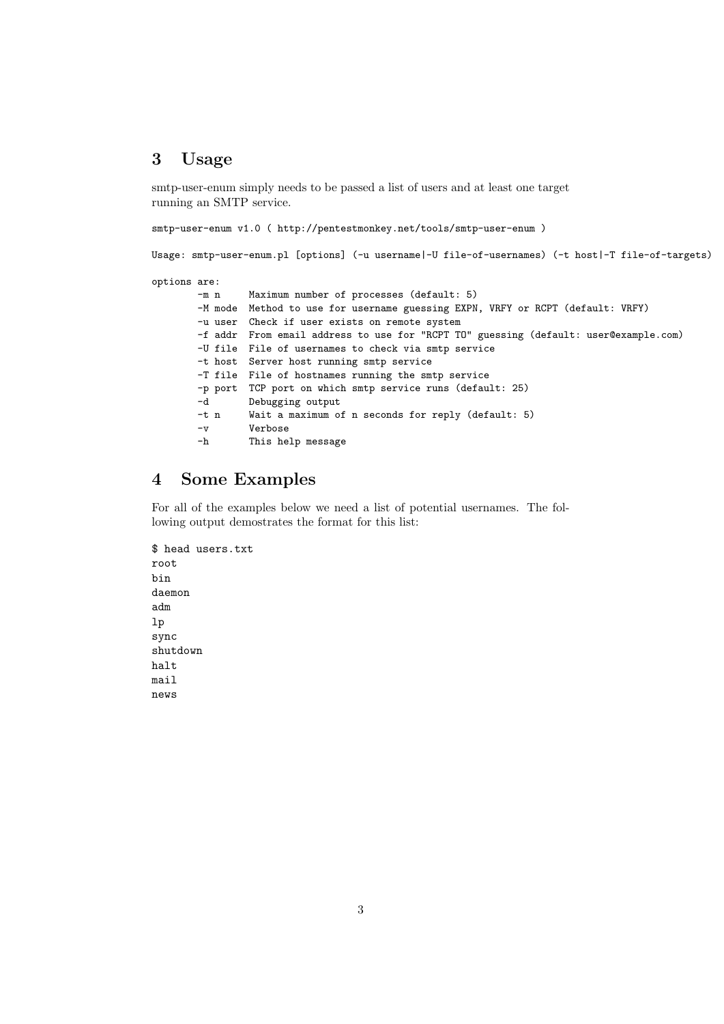#### <span id="page-2-0"></span>3 Usage

smtp-user-enum simply needs to be passed a list of users and at least one target running an SMTP service.

smtp-user-enum v1.0 ( http://pentestmonkey.net/tools/smtp-user-enum )

Usage: smtp-user-enum.pl [options] (-u username|-U file-of-usernames) (-t host|-T file-of-targets)

options are:

```
-m n Maximum number of processes (default: 5)
-M mode Method to use for username guessing EXPN, VRFY or RCPT (default: VRFY)
-u user Check if user exists on remote system
-f addr From email address to use for "RCPT TO" guessing (default: user@example.com)
-U file File of usernames to check via smtp service
-t host Server host running smtp service
-T file File of hostnames running the smtp service
-p port TCP port on which smtp service runs (default: 25)
-d Debugging output
-t n Wait a maximum of n seconds for reply (default: 5)
-v Verbose
-h This help message
```
## <span id="page-2-1"></span>4 Some Examples

For all of the examples below we need a list of potential usernames. The following output demostrates the format for this list:

\$ head users.txt root bin daemon adm lp sync shutdown halt mail news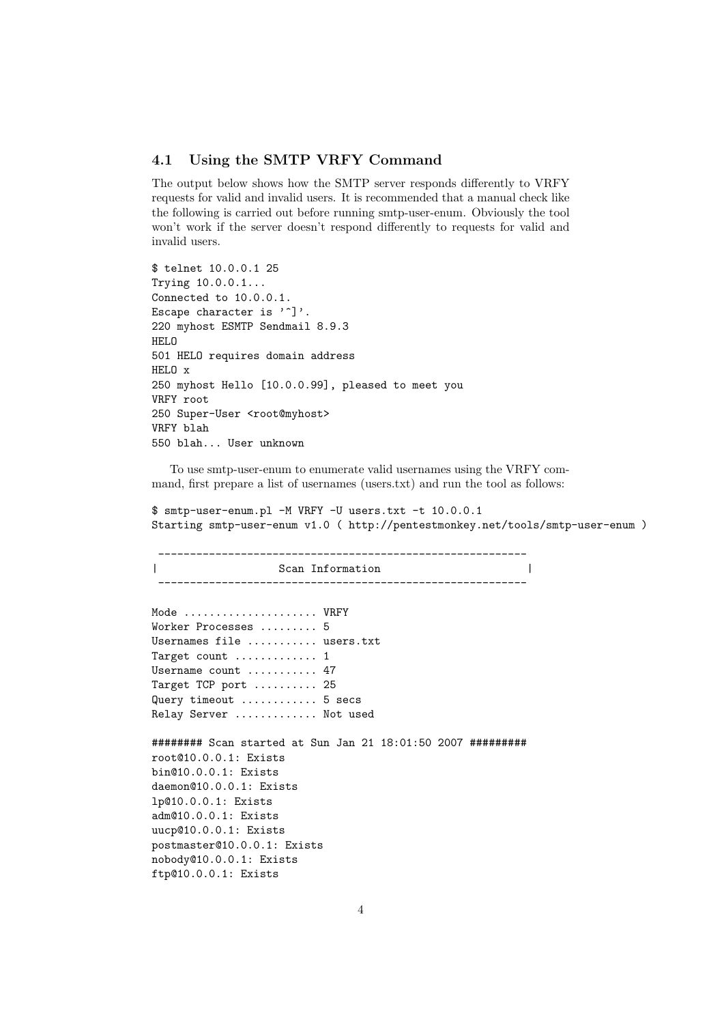#### <span id="page-3-0"></span>4.1 Using the SMTP VRFY Command

The output below shows how the SMTP server responds differently to VRFY requests for valid and invalid users. It is recommended that a manual check like the following is carried out before running smtp-user-enum. Obviously the tool won't work if the server doesn't respond differently to requests for valid and invalid users.

\$ telnet 10.0.0.1 25 Trying 10.0.0.1... Connected to 10.0.0.1. Escape character is '<sup>^</sup>]'. 220 myhost ESMTP Sendmail 8.9.3 HELO 501 HELO requires domain address HELO x 250 myhost Hello [10.0.0.99], pleased to meet you VRFY root 250 Super-User <root@myhost> VRFY blah 550 blah... User unknown

To use smtp-user-enum to enumerate valid usernames using the VRFY command, first prepare a list of usernames (users.txt) and run the tool as follows:

\$ smtp-user-enum.pl -M VRFY -U users.txt -t 10.0.0.1 Starting smtp-user-enum v1.0 ( http://pentestmonkey.net/tools/smtp-user-enum )

---------------------------------------------------------- | Scan Information | Scan Information | Scan Information | Solution | Solution | Solution | Solution | Solution | Solution | Solution | Solution | Solution | Solution | Solution | Solution | Solution | Solution | Solution ---------------------------------------------------------- Mode ..................... VRFY Worker Processes ......... 5 Usernames file ........... users.txt Target count ............. 1 Username count ........... 47 Target TCP port .......... 25 Query timeout ............ 5 secs Relay Server ............. Not used ######## Scan started at Sun Jan 21 18:01:50 2007 ######### root@10.0.0.1: Exists bin@10.0.0.1: Exists daemon@10.0.0.1: Exists lp@10.0.0.1: Exists adm@10.0.0.1: Exists uucp@10.0.0.1: Exists postmaster@10.0.0.1: Exists nobody@10.0.0.1: Exists ftp@10.0.0.1: Exists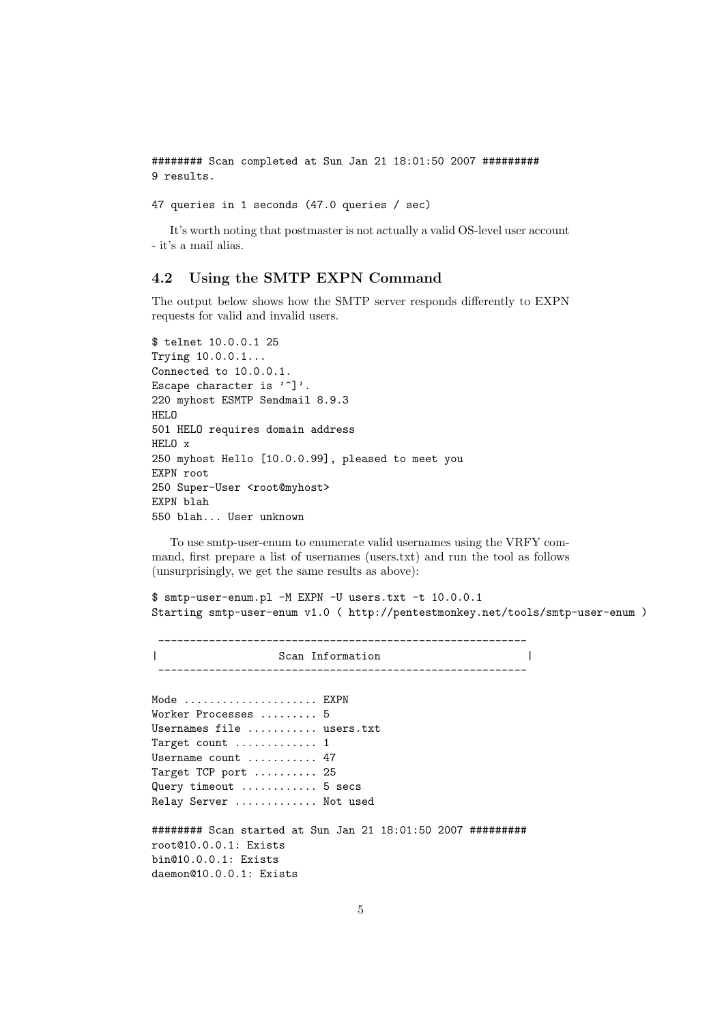######## Scan completed at Sun Jan 21 18:01:50 2007 ######### 9 results.

47 queries in 1 seconds (47.0 queries / sec)

It's worth noting that postmaster is not actually a valid OS-level user account - it's a mail alias.

#### <span id="page-4-0"></span>4.2 Using the SMTP EXPN Command

The output below shows how the SMTP server responds differently to EXPN requests for valid and invalid users.

```
$ telnet 10.0.0.1 25
Trying 10.0.0.1...
Connected to 10.0.0.1.
Escape character is '\hat{\ }.
220 myhost ESMTP Sendmail 8.9.3
HELO
501 HELO requires domain address
HELO x
250 myhost Hello [10.0.0.99], pleased to meet you
EXPN root
250 Super-User <root@myhost>
EXPN blah
550 blah... User unknown
```
To use smtp-user-enum to enumerate valid usernames using the VRFY command, first prepare a list of usernames (users.txt) and run the tool as follows (unsurprisingly, we get the same results as above):

\$ smtp-user-enum.pl -M EXPN -U users.txt -t 10.0.0.1 Starting smtp-user-enum v1.0 ( http://pentestmonkey.net/tools/smtp-user-enum )

---------------------------------------------------------- | Scan Information | ----------------------------------------------------------

Mode .................... EXPN Worker Processes ......... 5 Usernames file ........... users.txt Target count ............. 1 Username count ........... 47 Target TCP port .......... 25 Query timeout ............ 5 secs Relay Server ............. Not used

######## Scan started at Sun Jan 21 18:01:50 2007 ######### root@10.0.0.1: Exists bin@10.0.0.1: Exists daemon@10.0.0.1: Exists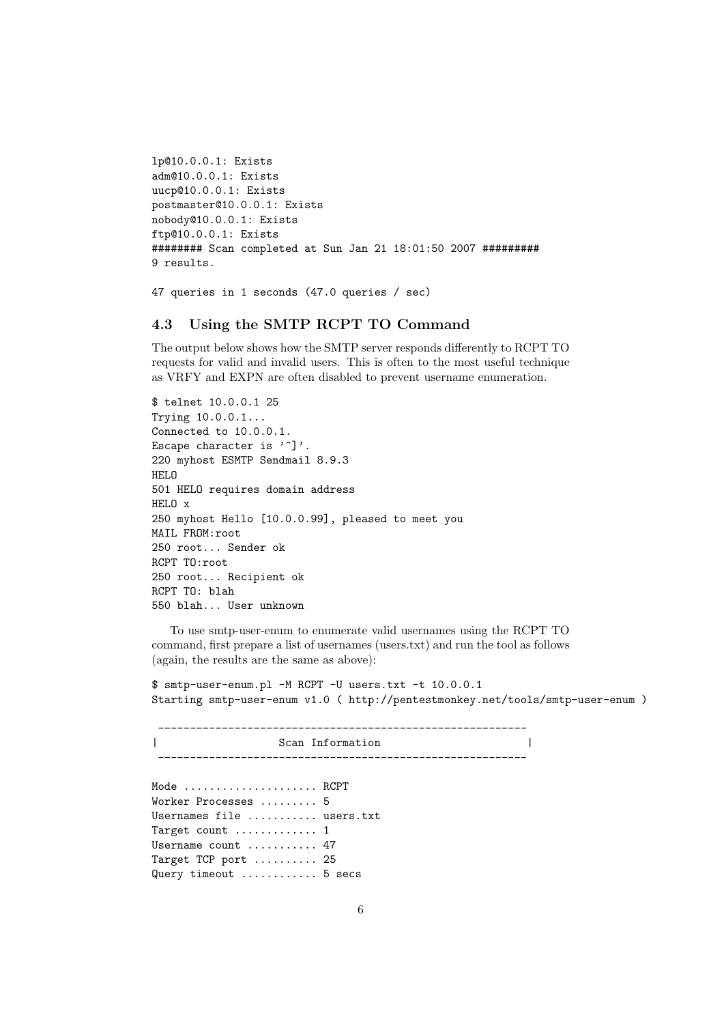```
lp@10.0.0.1: Exists
adm@10.0.0.1: Exists
uucp@10.0.0.1: Exists
postmaster@10.0.0.1: Exists
nobody@10.0.0.1: Exists
ftp@10.0.0.1: Exists
######## Scan completed at Sun Jan 21 18:01:50 2007 #########
9 results.
```
47 queries in 1 seconds (47.0 queries / sec)

#### <span id="page-5-0"></span>4.3 Using the SMTP RCPT TO Command

The output below shows how the SMTP server responds differently to RCPT TO requests for valid and invalid users. This is often to the most useful technique as VRFY and EXPN are often disabled to prevent username enumeration.

```
$ telnet 10.0.0.1 25
Trying 10.0.0.1...
Connected to 10.0.0.1.
Escape character is '<sup>^</sup>]'.
220 myhost ESMTP Sendmail 8.9.3
HELO
501 HELO requires domain address
HELO x
250 myhost Hello [10.0.0.99], pleased to meet you
MAIL FROM:root
250 root... Sender ok
RCPT TO:root
250 root... Recipient ok
RCPT TO: blah
550 blah... User unknown
```
To use smtp-user-enum to enumerate valid usernames using the RCPT TO command, first prepare a list of usernames (users.txt) and run the tool as follows (again, the results are the same as above):

\$ smtp-user-enum.pl -M RCPT -U users.txt -t 10.0.0.1 Starting smtp-user-enum v1.0 ( http://pentestmonkey.net/tools/smtp-user-enum )

---------------------------------------------------------- | Scan Information | ---------------------------------------------------------- Mode ...................... RCPT Worker Processes ......... 5 Usernames file ........... users.txt Target count ............. 1 Username count ........... 47 Target TCP port .......... 25 Query timeout ............ 5 secs